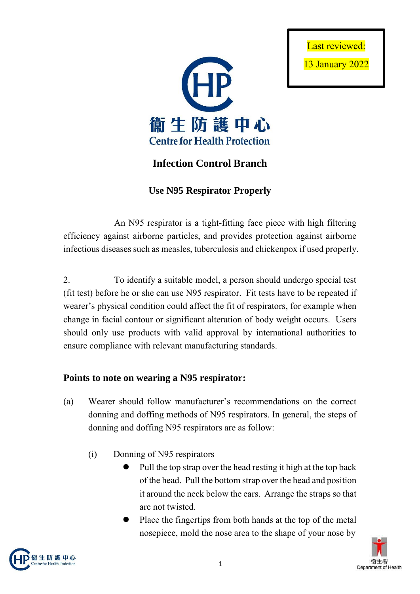



## **Infection Control Branch**

**Use N95 Respirator Properly**

An N95 respirator is a tight-fitting face piece with high filtering efficiency against airborne particles, and provides protection against airborne infectious diseases such as measles, tuberculosis and chickenpox if used properly.

2. To identify a suitable model, a person should undergo special test (fit test) before he or she can use N95 respirator. Fit tests have to be repeated if wearer's physical condition could affect the fit of respirators, for example when change in facial contour or significant alteration of body weight occurs. Users should only use products with valid approval by international authorities to ensure compliance with relevant manufacturing standards.

## **Points to note on wearing a N95 respirator:**

- (a) Wearer should follow manufacturer's recommendations on the correct donning and doffing methods of N95 respirators. In general, the steps of donning and doffing N95 respirators are as follow:
	- (i) Donning of N95 respirators
		- Pull the top strap over the head resting it high at the top back of the head. Pull the bottom strap over the head and position it around the neck below the ears. Arrange the straps so that are not twisted.
		- Place the fingertips from both hands at the top of the metal nosepiece, mold the nose area to the shape of your nose by



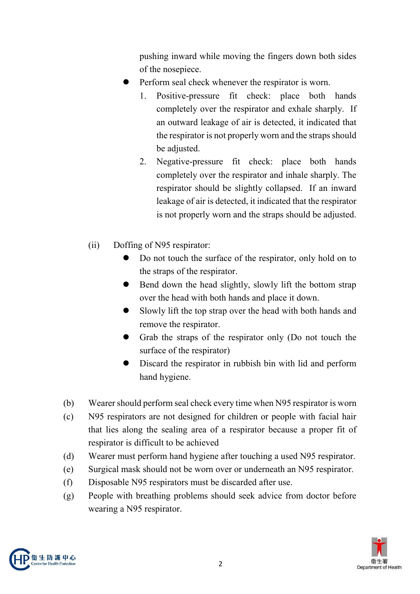pushing inward while moving the fingers down both sides of the nosepiece.

- Perform seal check whenever the respirator is worn.
	- 1. Positive-pressure fit check: place both hands completely over the respirator and exhale sharply. If an outward leakage of air is detected, it indicated that the respirator is not properly worn and the straps should be adjusted.
	- 2. Negative-pressure fit check: place both hands completely over the respirator and inhale sharply. The respirator should be slightly collapsed. If an inward leakage of air is detected, it indicated that the respirator is not properly worn and the straps should be adjusted.
- (ii) Doffing of N95 respirator:
	- Do not touch the surface of the respirator, only hold on to the straps of the respirator.
	- Bend down the head slightly, slowly lift the bottom strap over the head with both hands and place it down.
	- Slowly lift the top strap over the head with both hands and remove the respirator.
	- Grab the straps of the respirator only (Do not touch the surface of the respirator)
	- Discard the respirator in rubbish bin with lid and perform hand hygiene.
- (b) Wearer should perform seal check every time when N95 respirator is worn
- (c) N95 respirators are not designed for children or people with facial hair that lies along the sealing area of a respirator because a proper fit of respirator is difficult to be achieved
- (d) Wearer must perform hand hygiene after touching a used N95 respirator.
- (e) Surgical mask should not be worn over or underneath an N95 respirator.
- (f) Disposable N95 respirators must be discarded after use.
- (g) People with breathing problems should seek advice from doctor before wearing a N95 respirator.